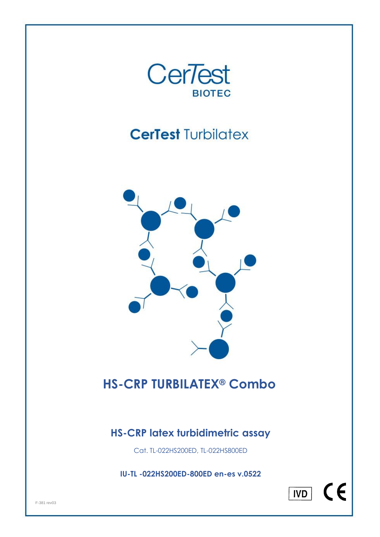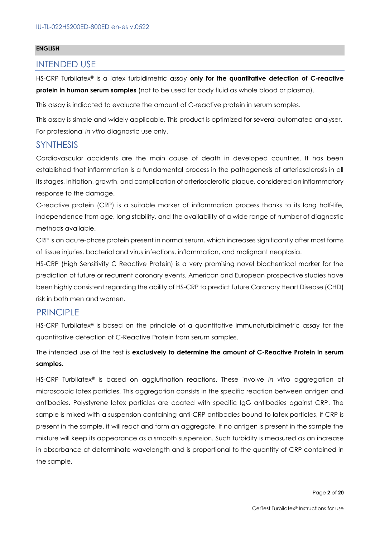#### **ENGLISH**

#### INTENDED USE

HS-CRP Turbilatex® is a latex turbidimetric assay **only for the quantitative detection of C-reactive protein in human serum samples** (not to be used for body fluid as whole blood or plasma).

This assay is indicated to evaluate the amount of C-reactive protein in serum samples.

This assay is simple and widely applicable. This product is optimized for several automated analyser. For professional *in vitro* diagnostic use only.

#### **SYNTHESIS**

Cardiovascular accidents are the main cause of death in developed countries. It has been established that inflammation is a fundamental process in the pathogenesis of arteriosclerosis in all its stages, initiation, growth, and complication of arteriosclerotic plaque, considered an inflammatory response to the damage.

C-reactive protein (CRP) is a suitable marker of inflammation process thanks to its long half-life, independence from age, long stability, and the availability of a wide range of number of diagnostic methods available.

CRP is an acute-phase protein present in normal serum, which increases significantly after most forms of tissue injuries, bacterial and virus infections, inflammation, and malignant neoplasia.

HS-CRP (High Sensitivity C Reactive Protein) is a very promising novel biochemical marker for the prediction of future or recurrent coronary events. American and European prospective studies have been highly consistent regarding the ability of HS-CRP to predict future Coronary Heart Disease (CHD) risk in both men and women.

#### PRINCIPLE

HS-CRP Turbilatex*®* is based on the principle of a quantitative immunoturbidimetric assay for the quantitative detection of C-Reactive Protein from serum samples.

The intended use of the test is **exclusively to determine the amount of C-Reactive Protein in serum samples.**

HS-CRP Turbilatex® is based on agglutination reactions. These involve *in vitro* aggregation of microscopic latex particles. This aggregation consists in the specific reaction between antigen and antibodies. Polystyrene latex particles are coated with specific IgG antibodies against CRP. The sample is mixed with a suspension containing anti-CRP antibodies bound to latex particles, if CRP is present in the sample, it will react and form an aggregate. If no antigen is present in the sample the mixture will keep its appearance as a smooth suspension. Such turbidity is measured as an increase in absorbance at determinate wavelength and is proportional to the quantity of CRP contained in the sample.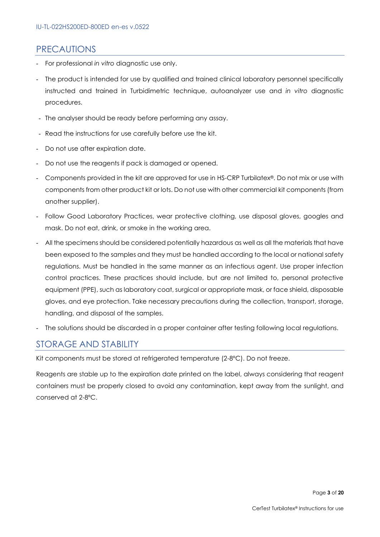#### **PRECAUTIONS**

- For professional *in vitro* diagnostic use only.
- The product is intended for use by qualified and trained clinical laboratory personnel specifically instructed and trained in Turbidimetric technique, autoanalyzer use and *in vitro* diagnostic procedures.
- The analyser should be ready before performing any assay.
- Read the instructions for use carefully before use the kit.
- Do not use after expiration date.
- Do not use the reagents if pack is damaged or opened.
- Components provided in the kit are approved for use in HS-CRP Turbilatex*®*. Do not mix or use with components from other product kit or lots. Do not use with other commercial kit components (from another supplier).
- Follow Good Laboratory Practices, wear protective clothing, use disposal gloves, googles and mask. Do not eat, drink, or smoke in the working area.
- All the specimens should be considered potentially hazardous as well as all the materials that have been exposed to the samples and they must be handled according to the local or national safety regulations. Must be handled in the same manner as an infectious agent. Use proper infection control practices. These practices should include, but are not limited to, personal protective equipment (PPE), such as laboratory coat, surgical or appropriate mask, or face shield, disposable gloves, and eye protection. Take necessary precautions during the collection, transport, storage, handling, and disposal of the samples.
- The solutions should be discarded in a proper container after testing following local regulations.

### STORAGE AND STABILITY

Kit components must be stored at refrigerated temperature (2-8ºC). Do not freeze.

Reagents are stable up to the expiration date printed on the label, always considering that reagent containers must be properly closed to avoid any contamination, kept away from the sunlight, and conserved at 2-8ºC.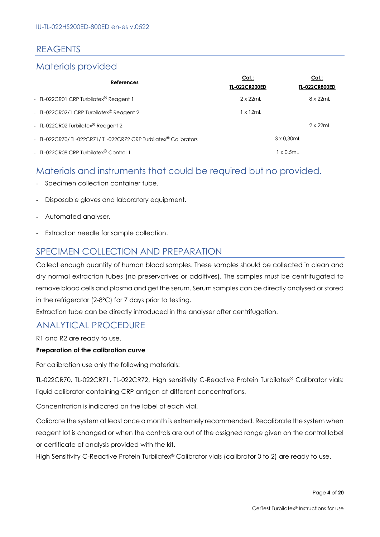## REAGENTS

## Materials provided

| <b>References</b>                                              | Cat:<br><b>TL-022CR200ED</b> | Cat.<br><b>TL-022CR800ED</b> |
|----------------------------------------------------------------|------------------------------|------------------------------|
| - TL-022CR01 CRP Turbilatex® Reagent 1                         | $2 \times 22$ ml             | 8 x 22mL                     |
| - TL-022CR02/1 CRP Turbilatex® Reagent 2                       | 1 x 12mL                     |                              |
| - TL-022CR02 Turbilatex® Reagent 2                             |                              | $2 \times 22$ ml             |
| - TL-022CR70/TL-022CR71/TL-022CR72 CRP Turbilatex® Calibrators |                              | $3 \times 0.30$ mL           |
| - TL-022CR08 CRP Turbilatex® Control 1                         |                              | 1 x 0.5mL                    |

## Materials and instruments that could be required but no provided.

- Specimen collection container tube.
- Disposable gloves and laboratory equipment.
- Automated analyser.
- Extraction needle for sample collection.

## SPECIMEN COLLECTION AND PREPARATION

Collect enough quantity of human blood samples. These samples should be collected in clean and dry normal extraction tubes (no preservatives or additives). The samples must be centrifugated to remove blood cells and plasma and get the serum. Serum samples can be directly analysed or stored in the refrigerator (2-8ºC) for 7 days prior to testing.

Extraction tube can be directly introduced in the analyser after centrifugation.

### ANALYTICAL PROCEDURE

R1 and R2 are ready to use.

#### **Preparation of the calibration curve**

For calibration use only the following materials:

TL-022CR70, TL-022CR71, TL-022CR72, High sensitivity C-Reactive Protein Turbilatex® Calibrator vials: liquid calibrator containing CRP antigen at different concentrations.

Concentration is indicated on the label of each vial.

Calibrate the system at least once a month is extremely recommended. Recalibrate the system when reagent lot is changed or when the controls are out of the assigned range given on the control label or certificate of analysis provided with the kit.

High Sensitivity C-Reactive Protein Turbilatex® Calibrator vials (calibrator 0 to 2) are ready to use.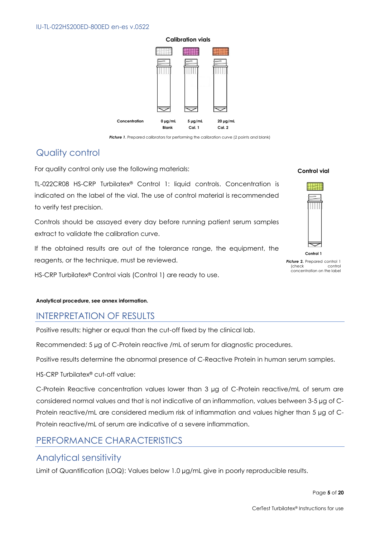

**Picture 1.** Prepared calibrators for performing the calibration curve (2 points and blank)

## Quality control

For quality control only use the following materials:

TL-022CR08 HS-CRP Turbilatex® Control 1: liquid controls. Concentration is indicated on the label of the vial. The use of control material is recommended to verify test precision.

Controls should be assayed every day before running patient serum samples extract to validate the calibration curve.

If the obtained results are out of the tolerance range, the equipment, the reagents, or the technique, must be reviewed.

HS-CRP Turbilatex® Control vials (Control 1) are ready to use.

#### **Analytical procedure, see annex information.**

### INTERPRETATION OF RESULTS

Positive results: higher or equal than the cut-off fixed by the clinical lab.

Recommended: 5 µg of C-Protein reactive /mL of serum for diagnostic procedures.

Positive results determine the abnormal presence of C-Reactive Protein in human serum samples.

HS-CRP Turbilatex® cut-off value:

C-Protein Reactive concentration values lower than 3 µg of C-Protein reactive/mL of serum are considered normal values and that is not indicative of an inflammation, values between 3-5 µg of C-Protein reactive/mL are considered medium risk of inflammation and values higher than 5 µg of C-Protein reactive/mL of serum are indicative of a severe inflammation.

## PERFORMANCE CHARACTERISTICS

### Analytical sensitivity

Limit of Quantification (LOQ): Values below 1.0 µg/mL give in poorly reproducible results.

#### **Control vial**



**Picture 2.** Prepared control 1 (check control concentration on the label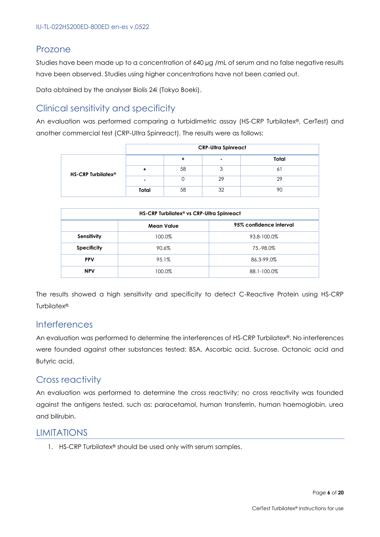### Prozone

Studies have been made up to a concentration of 640 µg /mL of serum and no false negative results have been observed. Studies using higher concentrations have not been carried out.

Data obtained by the analyser Biolis 24i (Tokyo Boeki).

## Clinical sensitivity and specificity

An evaluation was performed comparing a turbidimetric assay (HS-CRP Turbilatex®, CerTest) and another commercial test (CRP-Ultra Spinreact). The results were as follows:

|                                | <b>CRP-Ultra Spinreact</b> |    |                          |       |
|--------------------------------|----------------------------|----|--------------------------|-------|
| HS-CRP Turbilatex <sup>®</sup> |                            |    | $\overline{\phantom{0}}$ | Total |
|                                |                            | 58 |                          | 6     |
|                                |                            |    | 29                       | 29    |
|                                | Total                      | 58 | 32                       | 90    |

| HS-CRP Turbilatex <sup>®</sup> vs CRP-Ultra Spinreact |                   |                         |  |  |
|-------------------------------------------------------|-------------------|-------------------------|--|--|
|                                                       | <b>Mean Value</b> | 95% confidence interval |  |  |
| Sensitivity                                           | 100.0%            | 93.8-100.0%             |  |  |
| <b>Specificity</b>                                    | 90.6%             | 75.-98.0%               |  |  |
| <b>PPV</b>                                            | 95.1%             | 86.3-99.0%              |  |  |
| <b>NPV</b>                                            | 100.0%            | 88.1-100.0%             |  |  |

The results showed a high sensitivity and specificity to detect C-Reactive Protein using HS-CRP Turbilatex®.

### Interferences

An evaluation was performed to determine the interferences of HS-CRP Turbilatex®. No interferences were founded against other substances tested: BSA, Ascorbic acid, Sucrose, Octanoic acid and Butyric acid.

### Cross reactivity

An evaluation was performed to determine the cross reactivity; no cross reactivity was founded against the antigens tested, such as: paracetamol, human transferrin, human haemoglobin, urea and bilirubin.

### LIMITATIONS

1. HS-CRP Turbilatex® should be used only with serum samples.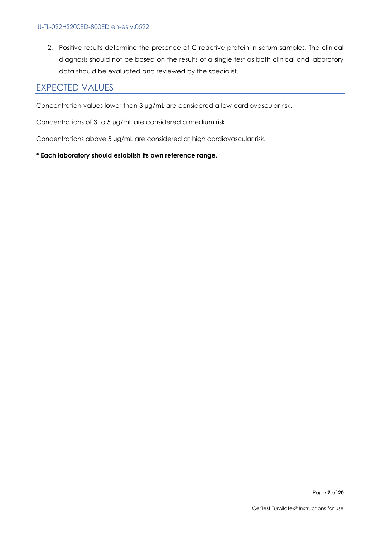2. Positive results determine the presence of C-reactive protein in serum samples. The clinical diagnosis should not be based on the results of a single test as both clinical and laboratory data should be evaluated and reviewed by the specialist.

## EXPECTED VALUES

Concentration values lower than 3 µg/mL are considered a low cardiovascular risk.

Concentrations of 3 to 5 µg/mL are considered a medium risk.

Concentrations above 5 µg/mL are considered at high cardiovascular risk.

#### **\* Each laboratory should establish its own reference range.**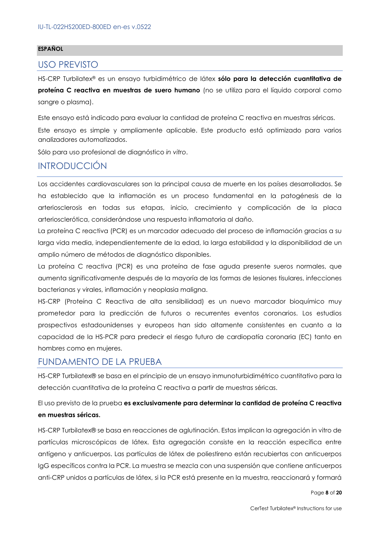#### **ESPAÑOL**

#### USO PREVISTO

HS-CRP Turbilatex® es un ensayo turbidimétrico de látex **sólo para la detección cuantitativa de** 

**proteína C reactiva en muestras de suero humano** (no se utiliza para el líquido corporal como sangre o plasma).

Este ensayo está indicado para evaluar la cantidad de proteína C reactiva en muestras séricas.

Este ensayo es simple y ampliamente aplicable. Este producto está optimizado para varios analizadores automatizados.

Sólo para uso profesional de diagnóstico *in vitro*.

### INTRODUCCIÓN

Los accidentes cardiovasculares son la principal causa de muerte en los países desarrollados. Se ha establecido que la inflamación es un proceso fundamental en la patogénesis de la arteriosclerosis en todas sus etapas, inicio, crecimiento y complicación de la placa arteriosclerótica, considerándose una respuesta inflamatoria al daño.

La proteína C reactiva (PCR) es un marcador adecuado del proceso de inflamación gracias a su larga vida media, independientemente de la edad, la larga estabilidad y la disponibilidad de un amplio número de métodos de diagnóstico disponibles.

La proteína C reactiva (PCR) es una proteína de fase aguda presente sueros normales, que aumenta significativamente después de la mayoría de las formas de lesiones tisulares, infecciones bacterianas y virales, inflamación y neoplasia maligna.

HS-CRP (Proteína C Reactiva de alta sensibilidad) es un nuevo marcador bioquímico muy prometedor para la predicción de futuros o recurrentes eventos coronarios. Los estudios prospectivos estadounidenses y europeos han sido altamente consistentes en cuanto a la capacidad de la HS-PCR para predecir el riesgo futuro de cardiopatía coronaria (EC) tanto en hombres como en mujeres.

### FUNDAMENTO DE LA PRUEBA

HS-CRP Turbilatex® se basa en el principio de un ensayo inmunoturbidimétrico cuantitativo para la detección cuantitativa de la proteína C reactiva a partir de muestras séricas.

#### El uso previsto de la prueba **es exclusivamente para determinar la cantidad de proteína C reactiva en muestras séricas.**

HS-CRP Turbilatex® se basa en reacciones de aglutinación. Estas implican la agregación in vitro de partículas microscópicas de látex. Esta agregación consiste en la reacción específica entre antígeno y anticuerpos. Las partículas de látex de poliestireno están recubiertas con anticuerpos IgG específicos contra la PCR. La muestra se mezcla con una suspensión que contiene anticuerpos anti-CRP unidos a partículas de látex, si la PCR está presente en la muestra, reaccionará y formará

Page **8** of **20**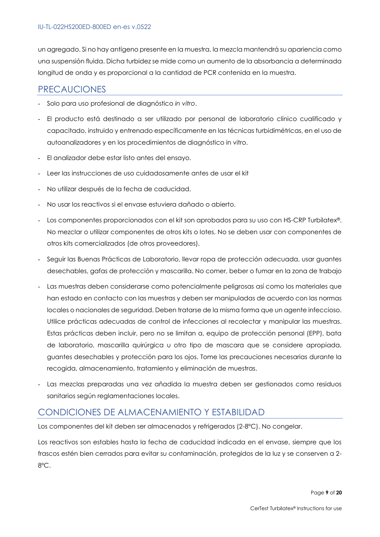un agregado. Si no hay antígeno presente en la muestra, la mezcla mantendrá su apariencia como una suspensión fluida. Dicha turbidez se mide como un aumento de la absorbancia a determinada longitud de onda y es proporcional a la cantidad de PCR contenida en la muestra.

#### PRECAUCIONES

- Solo para uso profesional de diagnóstico *in vitro*.
- El producto está destinado a ser utilizado por personal de laboratorio clínico cualificado y capacitado, instruido y entrenado específicamente en las técnicas turbidimétricas, en el uso de autoanalizadores y en los procedimientos de diagnóstico in vitro.
- El analizador debe estar listo antes del ensayo.
- Leer las instrucciones de uso cuidadosamente antes de usar el kit
- No utilizar después de la fecha de caducidad.
- No usar los reactivos si el envase estuviera dañado o abierto.
- Los componentes proporcionados con el kit son aprobados para su uso con HS-CRP Turbilatex®. No mezclar o utilizar componentes de otros kits o lotes. No se deben usar con componentes de otros kits comercializados (de otros proveedores).
- Seguir las Buenas Prácticas de Laboratorio, llevar ropa de protección adecuada, usar guantes desechables, gafas de protección y mascarilla. No comer, beber o fumar en la zona de trabajo
- Las muestras deben considerarse como potencialmente peligrosas así como los materiales que han estado en contacto con las muestras y deben ser manipuladas de acuerdo con las normas locales o nacionales de seguridad. Deben tratarse de la misma forma que un agente infeccioso. Utilice prácticas adecuadas de control de infecciones al recolectar y manipular las muestras. Estas prácticas deben incluir, pero no se limitan a, equipo de protección personal (EPP), bata de laboratorio, mascarilla quirúrgica u otro tipo de mascara que se considere apropiada, guantes desechables y protección para los ojos. Tome las precauciones necesarias durante la recogida, almacenamiento, tratamiento y eliminación de muestras.
- Las mezclas preparadas una vez añadida la muestra deben ser gestionados como residuos sanitarios según reglamentaciones locales.

### CONDICIONES DE ALMACENAMIENTO Y ESTABILIDAD

Los componentes del kit deben ser almacenados y refrigerados (2-8ºC). No congelar.

Los reactivos son estables hasta la fecha de caducidad indicada en el envase, siempre que los frascos estén bien cerrados para evitar su contaminación, protegidos de la luz y se conserven a 2- 8ºC.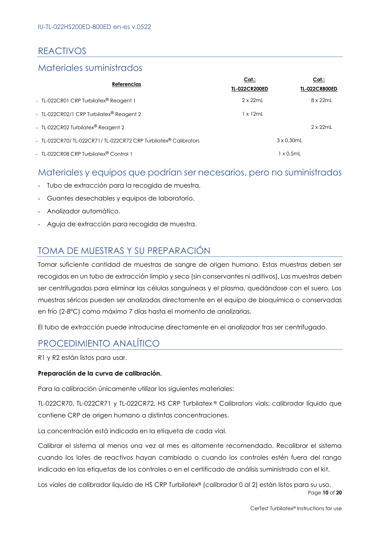## REACTIVOS

### Materiales suministrados

| <b>Referencias</b>                                             | Cat:<br><b>TL-022CR200ED</b> | Cat.:<br><b>TL-022CR800ED</b> |
|----------------------------------------------------------------|------------------------------|-------------------------------|
| - TL-022CR01 CRP Turbilatex® Reagent 1                         | $2 \times 22$ ml             | 8 x 22mL                      |
| - TL-022CR02/1 CRP Turbilatex® Reagent 2                       | 1 x 12mL                     |                               |
| - TL-022CR02 Turbilatex® Reagent 2                             |                              | $2 \times 22$ mL              |
| - TL-022CR70/TL-022CR71/TL-022CR72 CRP Turbilatex® Calibrators |                              | $3 \times 0.30$ mL            |
| - TL-022CR08 CRP Turbilatex <sup>®</sup> Control 1             |                              | l x 0,5mL                     |

#### Materiales y equipos que podrían ser necesarios, pero no suministrados

- Tubo de extracción para la recogida de muestra.
- Guantes desechables y equipos de laboratorio.
- Analizador automático.
- Aguja de extracción para recogida de muestra.

## TOMA DE MUESTRAS Y SU PREPARACIÓN

Tomar suficiente cantidad de muestras de sangre de origen humano. Estas muestras deben ser recogidas en un tubo de extracción limpio y seco (sin conservantes ni aditivos). Las muestras deben ser centrifugadas para eliminar las células sanguíneas y el plasma, quedándose con el suero. Las muestras séricas pueden ser analizadas directamente en el equipo de bioquímica o conservadas en frío (2-8ºC) como máximo 7 días hasta el momento de analizarlas.

El tubo de extracción puede introducirse directamente en el analizador tras ser centrifugado.

### PROCEDIMIENTO ANALÍTICO

R1 y R2 están listos para usar.

#### **Preparación de la curva de calibración.**

Para la calibración únicamente utilizar los siguientes materiales:

TL-022CR70, TL-022CR71 y TL-022CR72, HS CRP Turbilatex ® Calibrators vials: calibrador líquido que contiene CRP de origen humano a distintas concentraciones.

La concentración está indicada en la etiqueta de cada vial.

Calibrar el sistema al menos una vez al mes es altamente recomendado. Recalibrar el sistema cuando los lotes de reactivos hayan cambiado o cuando los controles estén fuera del rango indicado en las etiquetas de los controles o en el certificado de análisis suministrado con el kit.

Page **10** of **20** Los viales de calibrador líquido de HS CRP Turbilatex® (calibrador 0 al 2) están listos para su uso.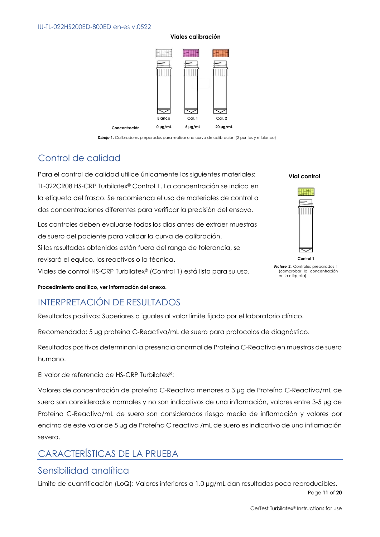#### **Viales calibración**



*Dibujo* **1.** Calibradores preparados para realizar una curva de calibración (2 puntos y el blanco)

## Control de calidad

Para el control de calidad utilice únicamente los siguientes materiales: TL-022CR08 HS-CRP Turbilatex® Control 1. La concentración se indica en la etiqueta del frasco. Se recomienda el uso de materiales de control a dos concentraciones diferentes para verificar la precisión del ensayo.

Los controles deben evaluarse todos los días antes de extraer muestras de suero del paciente para validar la curva de calibración. Si los resultados obtenidos están fuera del rango de tolerancia, se revisará el equipo, los reactivos o la técnica.

Viales de control HS-CRP Turbilatex® (Control 1) está listo para su uso.

**Vial control**



**Picture 2.** Controles preparados 1 (comprobar la concentración en la etiqueta)

**Procedimiento analítico, ver información del anexo.**

## INTERPRETACIÓN DE RESULTADOS

Resultados positivos: Superiores o iguales al valor límite fijado por el laboratorio clínico.

Recomendado: 5 µg proteína C-Reactiva/mL de suero para protocolos de diagnóstico.

Resultados positivos determinan la presencia anormal de Proteína C-Reactiva en muestras de suero humano.

El valor de referencia de HS-CRP Turbilatex®:

Valores de concentración de proteína C-Reactiva menores a 3 µg de Proteína C-Reactiva/mL de suero son considerados normales y no son indicativos de una inflamación, valores entre 3-5 µg de Proteína C-Reactiva/mL de suero son considerados riesgo medio de inflamación y valores por encima de este valor de 5 µg de Proteína C reactiva /mL de suero es indicativo de una inflamación severa.

## CARACTERÍSTICAS DE LA PRUEBA

### Sensibilidad analítica

Page **11** of **20** Límite de cuantificación (LoQ): Valores inferiores a 1.0 µg/mL dan resultados poco reproducibles.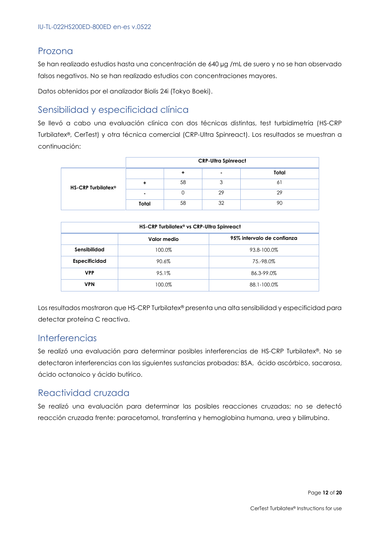#### Prozona

Se han realizado estudios hasta una concentración de 640 µg /mL de suero y no se han observado falsos negativos. No se han realizado estudios con concentraciones mayores.

Datos obtenidos por el analizador Biolis 24i (Tokyo Boeki).

### Sensibilidad y especificidad clínica

Se llevó a cabo una evaluación clínica con dos técnicas distintas, test turbidimetría (HS-CRP Turbilatex®, CerTest) y otra técnica comercial (CRP-Ultra Spinreact). Los resultados se muestran a continuación:

|                                | <b>CRP-Ultra Spinreact</b> |    |    |       |
|--------------------------------|----------------------------|----|----|-------|
| HS-CRP Turbilatex <sup>®</sup> |                            |    |    | Total |
|                                |                            | 58 | Ü  | Ō     |
|                                |                            |    | 29 | 29    |
|                                | Total                      | 58 | 32 |       |

| HS-CRP Turbilatex <sup>®</sup> vs CRP-Ultra Spinreact |             |                            |  |
|-------------------------------------------------------|-------------|----------------------------|--|
|                                                       | Valor medio | 95% intervalo de confianza |  |
| Sensibilidad                                          | 100.0%      | 93.8-100.0%                |  |
| <b>Especificidad</b>                                  | 90.6%       | 75.-98.0%                  |  |
| <b>VPP</b>                                            | 95.1%       | 86.3-99.0%                 |  |
| <b>VPN</b>                                            | 100.0%      | 88.1-100.0%                |  |

Los resultados mostraron que HS-CRP Turbilatex® presenta una alta sensibilidad y especificidad para detectar proteína C reactiva.

#### **Interferencias**

Se realizó una evaluación para determinar posibles interferencias de HS-CRP Turbilatex®. No se detectaron interferencias con las siguientes sustancias probadas: BSA, ácido ascórbico, sacarosa, ácido octanoico y ácido butírico.

### Reactividad cruzada

Se realizó una evaluación para determinar las posibles reacciones cruzadas; no se detectó reacción cruzada frente: paracetamol, transferrina y hemoglobina humana, urea y bilirrubina.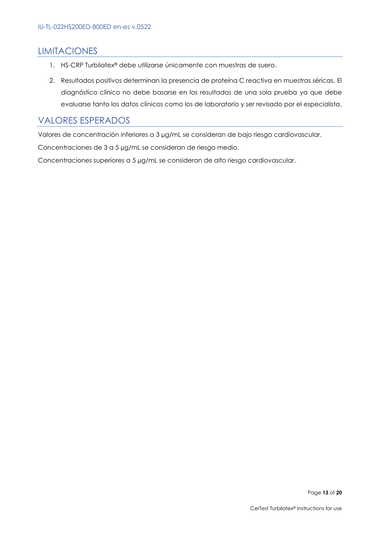### LIMITACIONES

- 1. HS-CRP Turbilatex® debe utilizarse únicamente con muestras de suero.
- 2. Resultados positivos determinan la presencia de proteína C reactiva en muestras séricas. El diagnóstico clínico no debe basarse en los resultados de una sola prueba ya que debe evaluarse tanto los datos clínicos como los de laboratorio y ser revisado por el especialista.

#### VALORES ESPERADOS

Valores de concentración inferiores a 3 µg/mL se consideran de bajo riesgo cardiovascular.

Concentraciones de 3 a 5 µg/mL se consideran de riesgo medio.

Concentraciones superiores a 5 µg/mL se consideran de alto riesgo cardiovascular.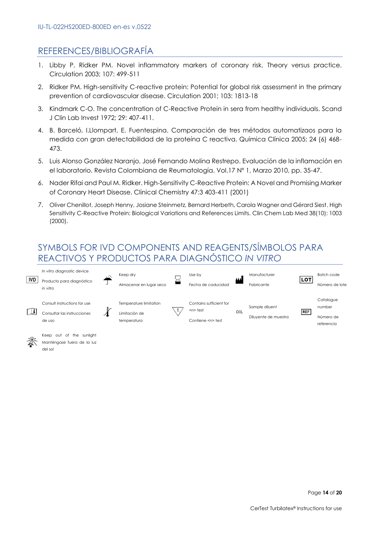## REFERENCES/BIBLIOGRAFÍA

- 1. Libby P, Ridker PM. Novel inflammatory markers of coronary risk. Theory versus practice. Circulation 2003; 107: 499-511
- 2. Ridker PM. High-sensitivity C-reactive protein: Potential for global risk assessment in the primary prevention of cardiovascular disease. Circulation 2001; 103: 1813-18
- 3. Kindmark C-O. The concentration of C-Reactive Protein in sera from healthy individuals. Scand J Clin Lab Invest 1972; 29: 407-411.
- 4. B. Barceló, I.Llompart, E. Fuentespina. Comparación de tres métodos automatizaos para la medida con gran detectabilidad de la proteína C reactiva. Química Clínica 2005; 24 (6) 468- 473.
- 5. Luis Alonso González Naranjo, José Fernando Molina Restrepo. Evaluación de la inflamación en el laboratorio. Revista Colombiana de Reumatología. Vol.17 Nº 1, Marzo 2010, pp. 35-47.
- 6. Nader Rifai and Paul M. Ridker. High-Sensitivity C-Reactive Protein: A Novel and Promising Marker of Coronary Heart Disease. Clinical Chemistry 47:3 403-411 (2001)
- 7. Oliver Chenillot, Joseph Henny, Josiane Steinmetz, Bernard Herbeth, Carola Wagner and Gérard Siest. High Sensitivity C-Reactive Protein: Biological Variations and References Limits. Clin Chem Lab Med 38(10): 1003 (2000).

## SYMBOLS FOR IVD COMPONENTS AND REAGENTS/SÍMBOLOS PARA REACTIVOS Y PRODUCTOS PARA DIAGNÓSTICO *IN VITRO*





Manténgase fuera de la luz del sol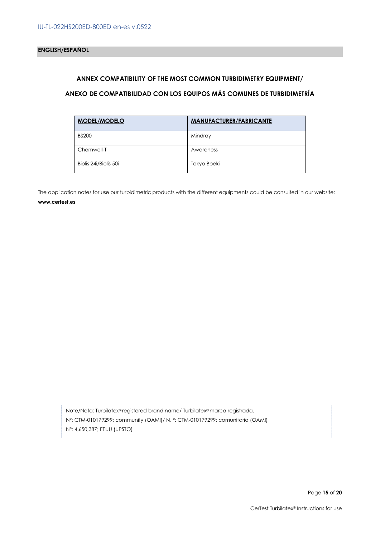#### **ANNEX COMPATIBILITY OF THE MOST COMMON TURBIDIMETRY EQUIPMENT/**

#### **ANEXO DE COMPATIBILIDAD CON LOS EQUIPOS MÁS COMUNES DE TURBIDIMETRÍA**

| <b>MODEL/MODELO</b>   | <b>MANUFACTURER/FABRICANTE</b> |
|-----------------------|--------------------------------|
| <b>BS200</b>          | Mindray                        |
| Chemwell-T            | Awareness                      |
| Biolis 24i/Biolis 50i | Tokyo Boeki                    |

The application notes for use our turbidimetric products with the different equipments could be consulted in our website: **www.certest.es**

Note/Nota: Turbilatex® registered brand name/ Turbilatex® marca registrada. Nº: CTM-010179299; community (OAMI)/ N. º: CTM-010179299; comunitaria (OAMI) Nº: 4,650,387; EEUU (UPSTO)

Page **15** of **20**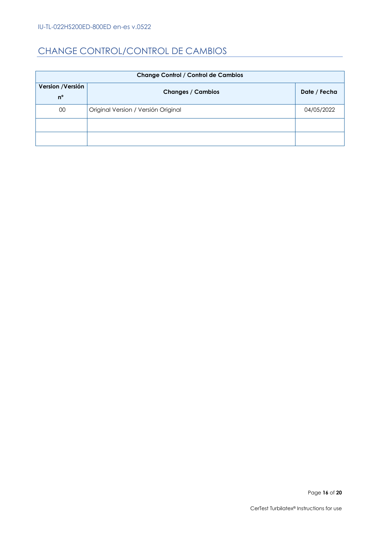## CHANGE CONTROL/CONTROL DE CAMBIOS

| <b>Change Control / Control de Cambios</b> |                                     |              |  |
|--------------------------------------------|-------------------------------------|--------------|--|
| Version / Versión<br>$n^{\circ}$           | <b>Changes / Cambios</b>            | Date / Fecha |  |
| 00                                         | Original Version / Versión Original | 04/05/2022   |  |
|                                            |                                     |              |  |
|                                            |                                     |              |  |

Page 16 of 20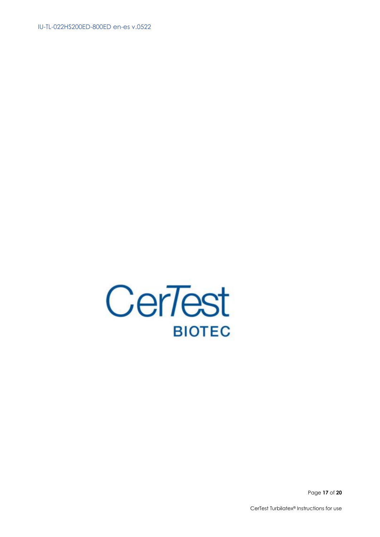

Page 17 of 20

CerTest Turbilatex<sup>®</sup> Instructions for use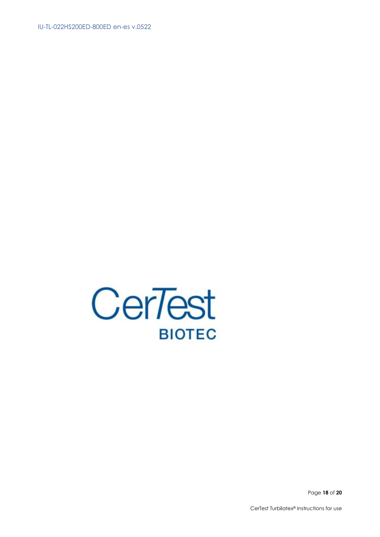

Page 18 of 20

CerTest Turbilatex<sup>®</sup> Instructions for use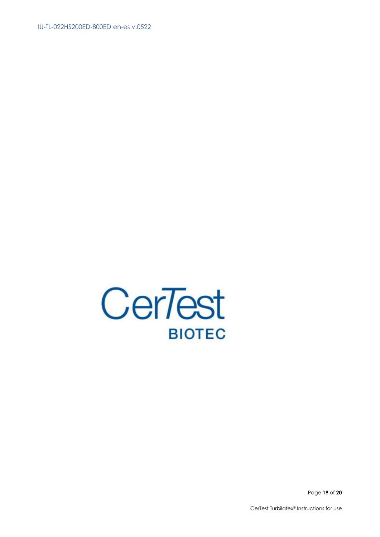

Page 19 of 20

CerTest Turbilatex<sup>®</sup> Instructions for use